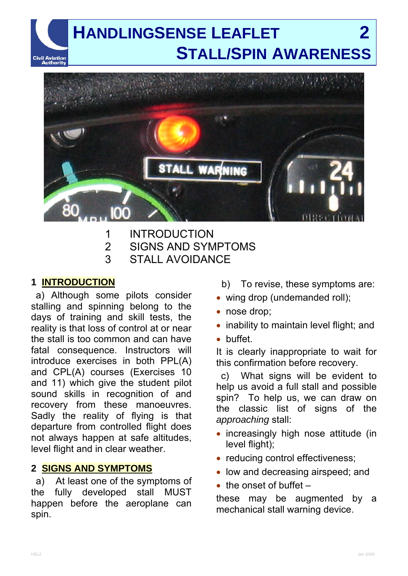## **HANDLINGSENSE LEAFLET 2 STALL/SPIN AWARENESS** Civil Aviation<br>Authority



- 1 INTRODUCTION
- 2 SIGNS AND SYMPTOMS
- 3 STALL AVOIDANCE

## **1 INTRODUCTION**

a) Although some pilots consider stalling and spinning belong to the days of training and skill tests, the reality is that loss of control at or near the stall is too common and can have fatal consequence. Instructors will introduce exercises in both PPL(A) and CPL(A) courses (Exercises 10 and 11) which give the student pilot sound skills in recognition of and recovery from these manoeuvres. Sadly the reality of flying is that departure from controlled flight does not always happen at safe altitudes, level flight and in clear weather.

## **2 SIGNS AND SYMPTOMS**

a) At least one of the symptoms of the fully developed stall MUST happen before the aeroplane can spin.

- b) To revise, these symptoms are:
- wing drop (undemanded roll);
- nose drop;
- inability to maintain level flight; and
- buffet.

It is clearly inappropriate to wait for this confirmation before recovery.

c) What signs will be evident to help us avoid a full stall and possible spin? To help us, we can draw on the classic list of signs of the *approaching* stall:

- increasingly high nose attitude (in level flight);
- reducing control effectiveness;
- low and decreasing airspeed; and
- $\bullet$  the onset of buffet  $-$

these may be augmented by a mechanical stall warning device.